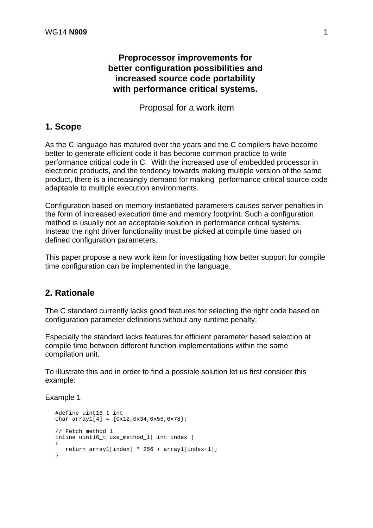# **Preprocessor improvements for better configuration possibilities and increased source code portability with performance critical systems.**

Proposal for a work item

# **1. Scope**

As the C language has matured over the years and the C compilers have become better to generate efficient code it has become common practice to write performance critical code in C. With the increased use of embedded processor in electronic products, and the tendency towards making multiple version of the same product, there is a increasingly demand for making performance critical source code adaptable to multiple execution environments.

Configuration based on memory instantiated parameters causes server penalties in the form of increased execution time and memory footprint. Such a configuration method is usually not an acceptable solution in performance critical systems. Instead the right driver functionality must be picked at compile time based on defined configuration parameters.

This paper propose a new work item for investigating how better support for compile time configuration can be implemented in the language.

## **2. Rationale**

The C standard currently lacks good features for selecting the right code based on configuration parameter definitions without any runtime penalty.

Especially the standard lacks features for efficient parameter based selection at compile time between different function implementations within the same compilation unit.

To illustrate this and in order to find a possible solution let us first consider this example:

### Example 1

```
 #define uint16_t int
char array1[4] = {0x12,0x34,0x56,0x78}; // Fetch method 1
 inline uint16_t use_method_1( int index )
 {
    return array1[index] * 256 + array1[index+1];
 }
```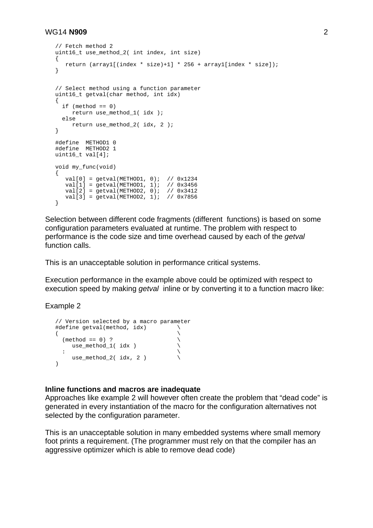#### WG14 **N909** 2

```
 // Fetch method 2
  uint16 t use method 2( int index, int size)
   {
      return (array1[(index * size)+1] * 256 + array1[index * size]);
   }
   // Select method using a function parameter
  uint16 t getval(char method, int idx)
   {
    if (method == 0) return use_method_1( idx );
     else
        return use_method_2( idx, 2 );
   }
   #define METHOD1 0
   #define METHOD2 1
   uint16_t val[4];
   void my_func(void)
   {
     val[0] = getval(METHOD1, 0); // 0x1234 val[1] = getval(METHOD1, 1); // 0x3456
 val[2] = getval(METHOD2, 0); // 0x3412
 val[3] = getval(METHOD2, 1); // 0x7856
   }
```
Selection between different code fragments (different functions) is based on some configuration parameters evaluated at runtime. The problem with respect to performance is the code size and time overhead caused by each of the *getval* function calls.

This is an unacceptable solution in performance critical systems.

Execution performance in the example above could be optimized with respect to execution speed by making *getval* inline or by converting it to a function macro like:

Example 2

```
 // Version selected by a macro parameter
   #define getval(method, idx) \
(as a set of \lambda(method == 0) ? \vee<br>use_method_1( idx )
        use_method_1( idx ) \
\mathbf{r} : \mathbf{r} is the contract of \mathbf{r}use_method_2( idx, 2 )
   \lambda
```
#### **Inline functions and macros are inadequate**

Approaches like example 2 will however often create the problem that "dead code" is generated in every instantiation of the macro for the configuration alternatives not selected by the configuration parameter.

This is an unacceptable solution in many embedded systems where small memory foot prints a requirement. (The programmer must rely on that the compiler has an aggressive optimizer which is able to remove dead code)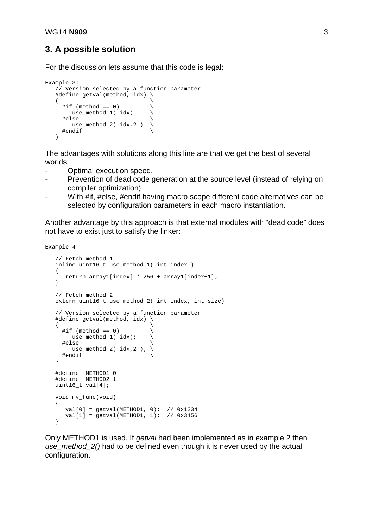### **3. A possible solution**

For the discussion lets assume that this code is legal:

```
Example 3:
 // Version selected by a function parameter
 #define getval(method, idx) \
( \qquad \qquad\#if (method == 0)
       use_method_1( idx) \
     #else \
      use_method_2(idx, 2)
     #endif \
    )
```
The advantages with solutions along this line are that we get the best of several worlds:

- Optimal execution speed.
- Prevention of dead code generation at the source level (instead of relying on compiler optimization)
- With #if, #else, #endif having macro scope different code alternatives can be selected by configuration parameters in each macro instantiation.

Another advantage by this approach is that external modules with "dead code" does not have to exist just to satisfy the linker:

```
Example 4
```

```
 // Fetch method 1
   inline uint16_t use_method_1( int index )
   {
      return array1[index] * 256 + array1[index+1];
   }
   // Fetch method 2
   extern uint16_t use_method_2( int index, int size)
   // Version selected by a function parameter
   #define getval(method, idx) \
\{ \qquad \qquad \}\# \text{if} (method == 0)
        use_method_1( idx); \
     #else \
       use_method_2( idx, 2 ); \
     #endif \
   }
 #define METHOD1 0
 #define METHOD2 1
   uint16_t val[4];
   void my_func(void)
   {
 val[0] = getval(METHOD1, 0); // 0x1234
 val[1] = getval(METHOD1, 1); // 0x3456
   }
```
Only METHOD1 is used. If *getval* had been implemented as in example 2 then *use method 2()* had to be defined even though it is never used by the actual configuration.